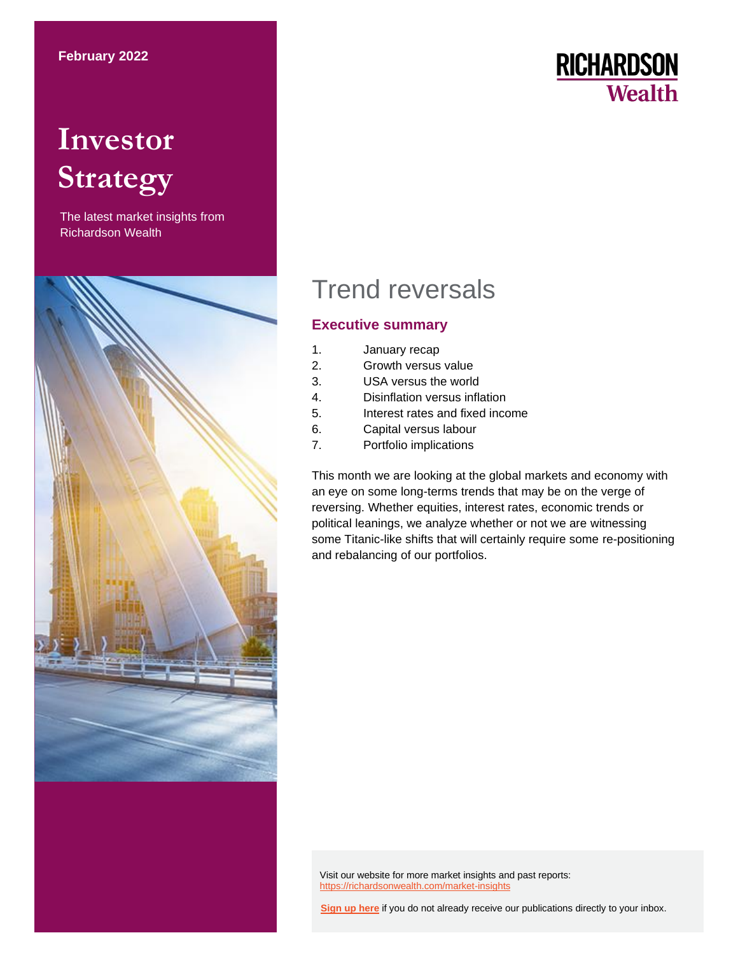# **Investor Strategy**

The latest market insights from Richardson Wealth



# **RICHARDSON Wealth**

# Trend reversals

# **Executive summary**

- 1. January recap
- 2. Growth versus value
- 3. USA versus the world
- 4. Disinflation versus inflation
- 5. Interest rates and fixed income
- 6. Capital versus labour
- 7. Portfolio implications

This month we are looking at the global markets and economy with an eye on some long-terms trends that may be on the verge of reversing. Whether equities, interest rates, economic trends or political leanings, we analyze whether or not we are witnessing some Titanic-like shifts that will certainly require some re-positioning and rebalancing of our portfolios.

Visit our website for more market insights and past reports: <https://richardsonwealth.com/market-insights>

**[Sign up here](https://surveys.campaignbreeze.com/s/9772617f4a874bcad89db07d66bb905669984b44)** if you do not already receive our publications directly to your inbox.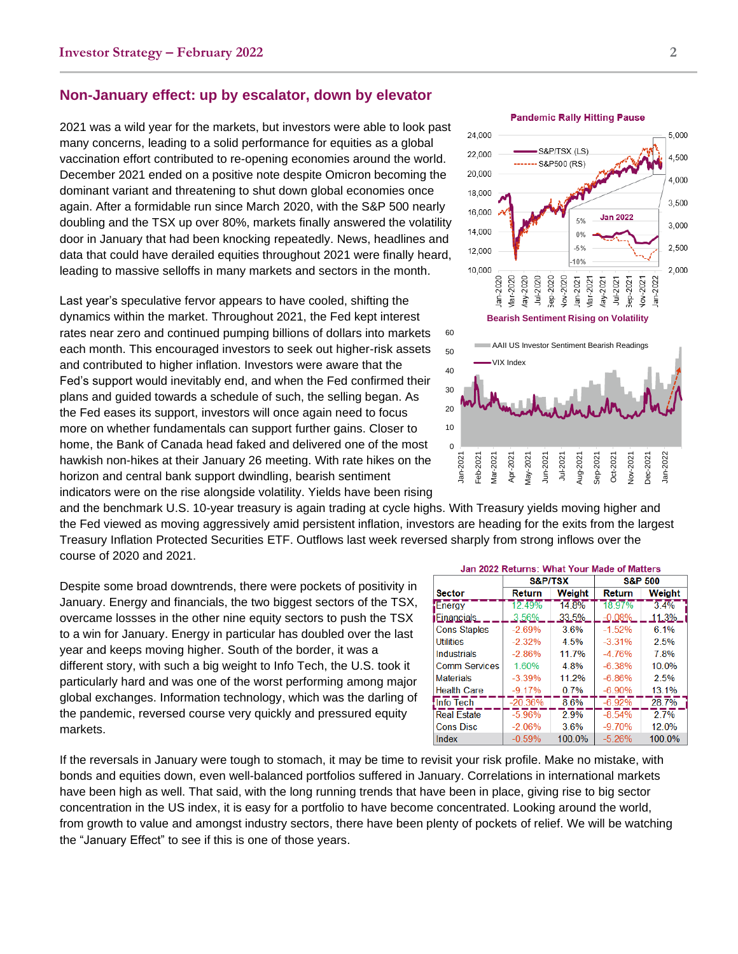### **Non-January effect: up by escalator, down by elevator**

2021 was a wild year for the markets, but investors were able to look past many concerns, leading to a solid performance for equities as a global vaccination effort contributed to re-opening economies around the world. December 2021 ended on a positive note despite Omicron becoming the dominant variant and threatening to shut down global economies once again. After a formidable run since March 2020, with the S&P 500 nearly doubling and the TSX up over 80%, markets finally answered the volatility door in January that had been knocking repeatedly. News, headlines and data that could have derailed equities throughout 2021 were finally heard, leading to massive selloffs in many markets and sectors in the month.

Last year's speculative fervor appears to have cooled, shifting the dynamics within the market. Throughout 2021, the Fed kept interest rates near zero and continued pumping billions of dollars into markets each month. This encouraged investors to seek out higher-risk assets and contributed to higher inflation. Investors were aware that the Fed's support would inevitably end, and when the Fed confirmed their plans and guided towards a schedule of such, the selling began. As the Fed eases its support, investors will once again need to focus more on whether fundamentals can support further gains. Closer to home, the Bank of Canada head faked and delivered one of the most hawkish non-hikes at their January 26 meeting. With rate hikes on the horizon and central bank support dwindling, bearish sentiment indicators were on the rise alongside volatility. Yields have been rising



and the benchmark U.S. 10-year treasury is again trading at cycle highs. With Treasury yields moving higher and the Fed viewed as moving aggressively amid persistent inflation, investors are heading for the exits from the largest Treasury Inflation Protected Securities ETF. Outflows last week reversed sharply from strong inflows over the course of 2020 and 2021.

Despite some broad downtrends, there were pockets of positivity in January. Energy and financials, the two biggest sectors of the TSX, overcame lossses in the other nine equity sectors to push the TSX to a win for January. Energy in particular has doubled over the last year and keeps moving higher. South of the border, it was a different story, with such a big weight to Info Tech, the U.S. took it particularly hard and was one of the worst performing among major global exchanges. Information technology, which was the darling of the pandemic, reversed course very quickly and pressured equity markets.

| Jan 2022 Returns: What Your Made of Matters |           |                    |                    |        |  |  |
|---------------------------------------------|-----------|--------------------|--------------------|--------|--|--|
|                                             | S&P/TSX   |                    | <b>S&amp;P 500</b> |        |  |  |
| <b>Sector</b>                               | Return    | Weight             | Return             | Weight |  |  |
| Energy                                      | 12 49%    | $14\overline{8\%}$ | 18.97%             | 34%    |  |  |
| Einancials                                  | 3.56%     | 33.5%              | $-0.08%$           | 11.3%  |  |  |
| <b>Cons Staples</b>                         | $-2.69%$  | 3.6%               | $-1.52%$           | 6.1%   |  |  |
| <b>Utilities</b>                            | $-2.32\%$ | 4.5%               | $-3.31%$           | 2.5%   |  |  |
| <b>Industrials</b>                          | $-2.86%$  | 11.7%              | $-4.76%$           | 7.8%   |  |  |
| <b>Comm Services</b>                        | 1.60%     | 4.8%               | $-6.38%$           | 10.0%  |  |  |
| <b>Materials</b>                            | $-3.39%$  | 11.2%              | $-6.86%$           | 2.5%   |  |  |
| <b>Health Care</b>                          | $-9.17%$  | $0.7\%$            | $-6.90\%$          | 13.1%  |  |  |
| Info Tech                                   | $-20.36%$ | 8.6%               | $-6.92%$           | 28.7%  |  |  |
| <b>Real Estate</b>                          | $-5.96%$  | $2.9\%$            | $-8.54%$           | 2.7%   |  |  |
| <b>Cons Disc</b>                            | $-2.06%$  | 3.6%               | $-9.70%$           | 12.0%  |  |  |
| Index                                       | $-0.59%$  | 100.0%             | $-5.26%$           | 100.0% |  |  |

If the reversals in January were tough to stomach, it may be time to revisit your risk profile. Make no mistake, with bonds and equities down, even well-balanced portfolios suffered in January. Correlations in international markets have been high as well. That said, with the long running trends that have been in place, giving rise to big sector concentration in the US index, it is easy for a portfolio to have become concentrated. Looking around the world, from growth to value and amongst industry sectors, there have been plenty of pockets of relief. We will be watching the "January Effect" to see if this is one of those years.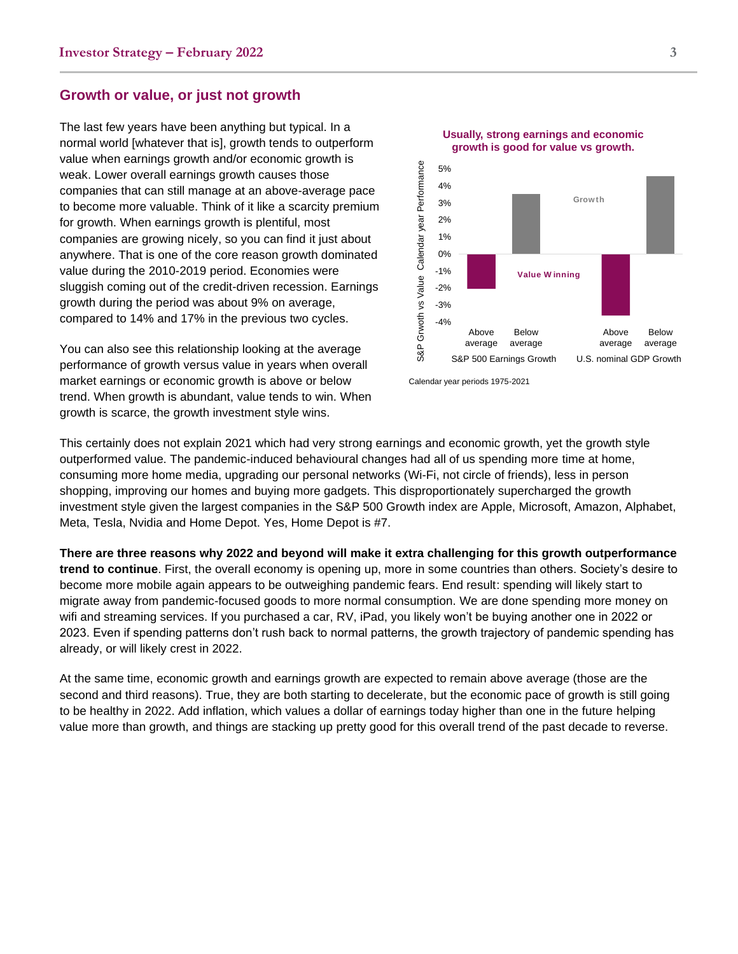#### **Growth or value, or just not growth**

The last few years have been anything but typical. In a normal world [whatever that is], growth tends to outperform value when earnings growth and/or economic growth is weak. Lower overall earnings growth causes those companies that can still manage at an above-average pace to become more valuable. Think of it like a scarcity premium for growth. When earnings growth is plentiful, most companies are growing nicely, so you can find it just about anywhere. That is one of the core reason growth dominated value during the 2010-2019 period. Economies were sluggish coming out of the credit-driven recession. Earnings growth during the period was about 9% on average, compared to 14% and 17% in the previous two cycles.

You can also see this relationship looking at the average performance of growth versus value in years when overall market earnings or economic growth is above or below trend. When growth is abundant, value tends to win. When growth is scarce, the growth investment style wins.



Calendar year periods 1975-2021

This certainly does not explain 2021 which had very strong earnings and economic growth, yet the growth style outperformed value. The pandemic-induced behavioural changes had all of us spending more time at home, consuming more home media, upgrading our personal networks (Wi-Fi, not circle of friends), less in person shopping, improving our homes and buying more gadgets. This disproportionately supercharged the growth investment style given the largest companies in the S&P 500 Growth index are Apple, Microsoft, Amazon, Alphabet, Meta, Tesla, Nvidia and Home Depot. Yes, Home Depot is #7.

**There are three reasons why 2022 and beyond will make it extra challenging for this growth outperformance trend to continue**. First, the overall economy is opening up, more in some countries than others. Society's desire to become more mobile again appears to be outweighing pandemic fears. End result: spending will likely start to migrate away from pandemic-focused goods to more normal consumption. We are done spending more money on wifi and streaming services. If you purchased a car, RV, iPad, you likely won't be buying another one in 2022 or 2023. Even if spending patterns don't rush back to normal patterns, the growth trajectory of pandemic spending has already, or will likely crest in 2022.

At the same time, economic growth and earnings growth are expected to remain above average (those are the second and third reasons). True, they are both starting to decelerate, but the economic pace of growth is still going to be healthy in 2022. Add inflation, which values a dollar of earnings today higher than one in the future helping value more than growth, and things are stacking up pretty good for this overall trend of the past decade to reverse.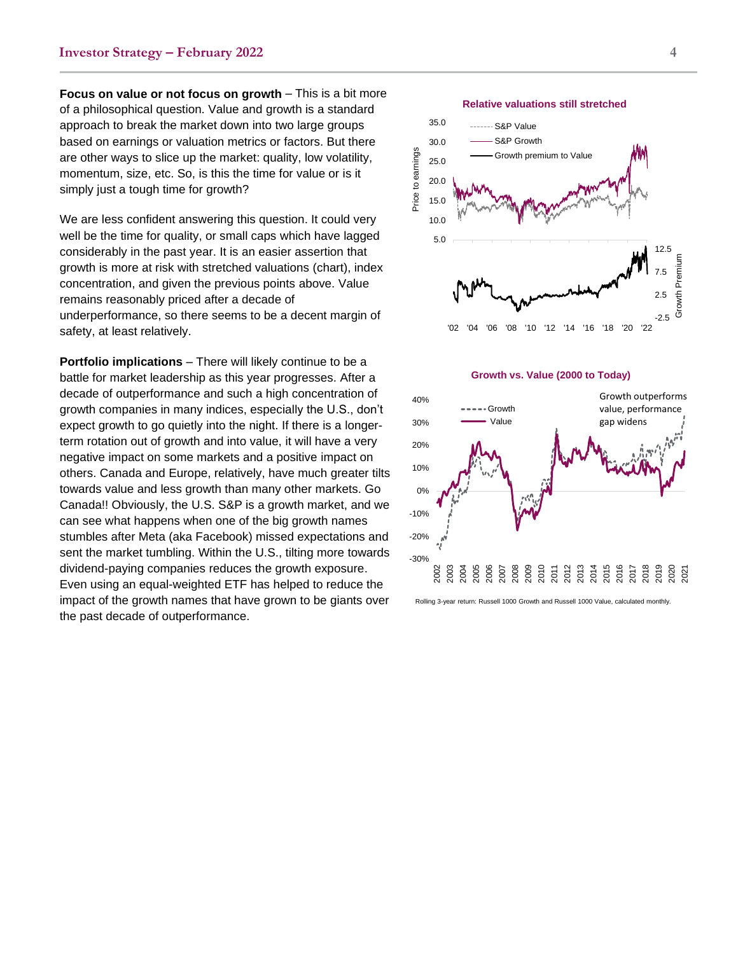**Focus on value or not focus on growth** – This is a bit more of a philosophical question. Value and growth is a standard approach to break the market down into two large groups based on earnings or valuation metrics or factors. But there are other ways to slice up the market: quality, low volatility, momentum, size, etc. So, is this the time for value or is it simply just a tough time for growth?

We are less confident answering this question. It could very well be the time for quality, or small caps which have lagged considerably in the past year. It is an easier assertion that growth is more at risk with stretched valuations (chart), index concentration, and given the previous points above. Value remains reasonably priced after a decade of underperformance, so there seems to be a decent margin of safety, at least relatively.

**Portfolio implications** – There will likely continue to be a battle for market leadership as this year progresses. After a decade of outperformance and such a high concentration of growth companies in many indices, especially the U.S., don't expect growth to go quietly into the night. If there is a longer term rotation out of growth and into value, it will have a very negative impact on some markets and a positive impact on others. Canada and Europe, relatively, have much greater tilts towards value and less growth than many other markets. Go Canada!! Obviously, the U.S. S&P is a growth market, and we can see what happens when one of the big growth names stumbles after Meta (aka Facebook) missed expectations and sent the market tumbling. Within the U.S. , tilting more towards dividend -paying companies reduces the growth exposure . Even using an equal -weighted ETF has helped to reduce the impact of the growth names that have grown to be giants over the past decade of outperformance.



**Relative valuations still stretched**

Price to earnings

Price to earnings



#### **Growth vs. Value (2000 to Today)**



Rolling 3-year return: Russell 1000 Growth and Russell 1000 Value, calculated monthly.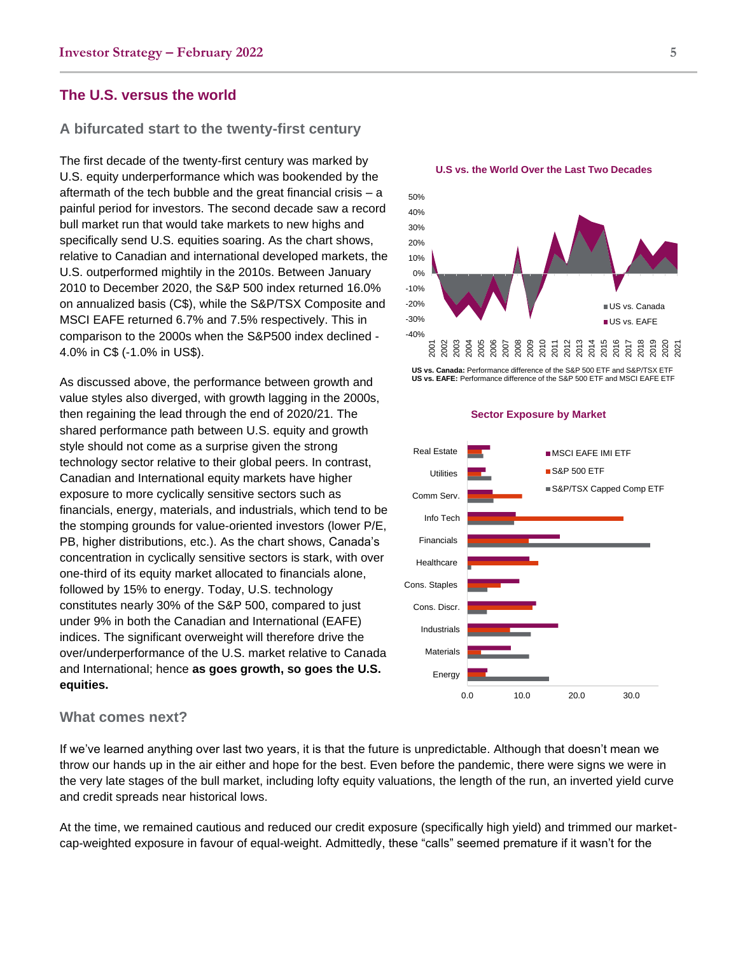## **The U.S. versus the world**

### **A bifurcated start to the twenty-first century**

The first decade of the twenty-first century was marked by U.S. equity underperformance which was bookended by the aftermath of the tech bubble and the great financial crisis – a painful period for investors. The second decade saw a record bull market run that would take markets to new highs and specifically send U.S. equities soaring. As the chart shows, relative to Canadian and international developed markets, the U.S. outperformed mightily in the 2010s. Between January 2010 to December 2020, the S&P 500 index returned 16.0% on annualized basis (C\$), while the S&P/TSX Composite and MSCI EAFE returned 6.7% and 7.5% respectively. This in comparison to the 2000s when the S&P500 index declined - 4.0% in C\$ (-1.0% in US\$).

As discussed above, the performance between growth and value styles also diverged, with growth lagging in the 2000s, then regaining the lead through the end of 2020/21. The shared performance path between U.S. equity and growth style should not come as a surprise given the strong technology sector relative to their global peers. In contrast, Canadian and International equity markets have higher exposure to more cyclically sensitive sectors such as financials, energy, materials, and industrials, which tend to be the stomping grounds for value-oriented investors (lower P/E, PB, higher distributions, etc.). As the chart shows, Canada's concentration in cyclically sensitive sectors is stark, with over one-third of its equity market allocated to financials alone, followed by 15% to energy. Today, U.S. technology constitutes nearly 30% of the S&P 500, compared to just under 9% in both the Canadian and International (EAFE) indices. The significant overweight will therefore drive the over/underperformance of the U.S. market relative to Canada and International; hence **as goes growth, so goes the U.S. equities.**

#### **What comes next?**

If we've learned anything over last two years, it is that the future is unpredictable. Although that doesn't mean we throw our hands up in the air either and hope for the best. Even before the pandemic, there were signs we were in the very late stages of the bull market, including lofty equity valuations, the length of the run, an inverted yield curve and credit spreads near historical lows.

At the time, we remained cautious and reduced our credit exposure (specifically high yield) and trimmed our marketcap-weighted exposure in favour of equal-weight. Admittedly, these "calls" seemed premature if it wasn't for the



**US vs. Canada:** Performance difference of the S&P 500 ETF and S&P/TSX ETF **US vs. EAFE:** Performance difference of the S&P 500 ETF and MSCI EAFE ETF

**Sector Exposure by Market**



**U.S vs. the World Over the Last Two Decades**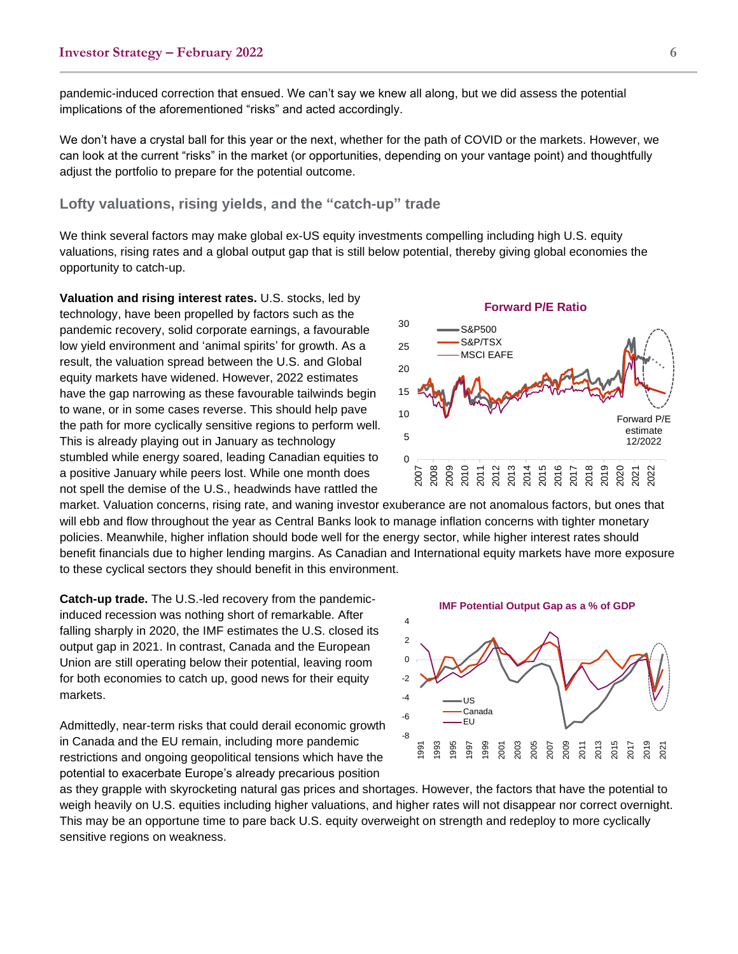pandemic-induced correction that ensued. We can't say we knew all along, but we did assess the potential implications of the aforementioned "risks" and acted accordingly.

We don't have a crystal ball for this year or the next, whether for the path of COVID or the markets. However, we can look at the current "risks" in the market (or opportunities, depending on your vantage point) and thoughtfully adjust the portfolio to prepare for the potential outcome.

### **Lofty valuations, rising yields, and the "catch-up" trade**

We think several factors may make global ex-US equity investments compelling including high U.S. equity valuations, rising rates and a global output gap that is still below potential, thereby giving global economies the opportunity to catch-up.

**Valuation and rising interest rates.** U.S. stocks, led by technology, have been propelled by factors such as the pandemic recovery, solid corporate earnings, a favourable low yield environment and 'animal spirits' for growth. As a result, the valuation spread between the U.S. and Global equity markets have widened. However, 2022 estimates have the gap narrowing as these favourable tailwinds begin to wane, or in some cases reverse. This should help pave the path for more cyclically sensitive regions to perform well. This is already playing out in January as technology stumbled while energy soared, leading Canadian equities to a positive January while peers lost. While one month does not spell the demise of the U.S., headwinds have rattled the

market. Valuation concerns, rising rate, and waning investor exuberance are not anomalous factors, but ones that will ebb and flow throughout the year as Central Banks look to manage inflation concerns with tighter monetary policies. Meanwhile, higher inflation should bode well for the energy sector, while higher interest rates should benefit financials due to higher lending margins. As Canadian and International equity markets have more exposure to these cyclical sectors they should benefit in this environment.

2007 2008 2009 2010 2011 2012 2013 2014 2015 2016 2017 2018 2019 2020 2021 2022

**Catch-up trade.** The U.S.-led recovery from the pandemicinduced recession was nothing short of remarkable. After falling sharply in 2020, the IMF estimates the U.S. closed its output gap in 2021. In contrast, Canada and the European Union are still operating below their potential, leaving room for both economies to catch up, good news for their equity markets.

Admittedly, near-term risks that could derail economic growth in Canada and the EU remain, including more pandemic restrictions and ongoing geopolitical tensions which have the potential to exacerbate Europe's already precarious position

as they grapple with skyrocketing natural gas prices and shortages. However, the factors that have the potential to weigh heavily on U.S. equities including higher valuations, and higher rates will not disappear nor correct overnight. This may be an opportune time to pare back U.S. equity overweight on strength and redeploy to more cyclically sensitive regions on weakness.



**Forward P/E Ratio**

S&P500 S&P/TSX MSCI EAFE



Forward P/E estimate 12/2022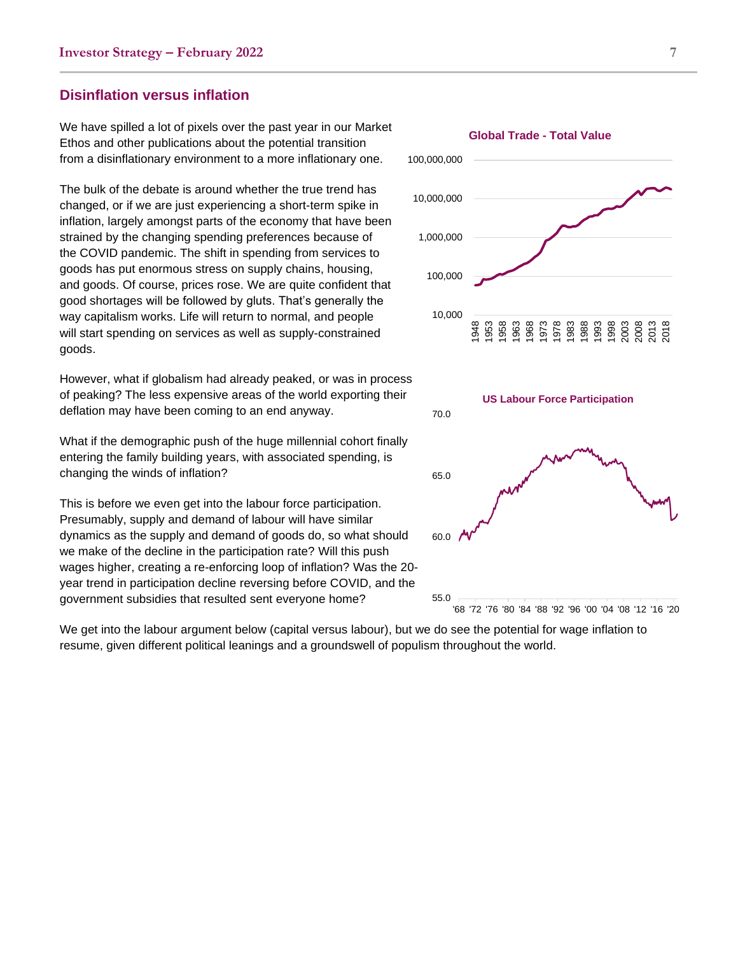# **Disinflation versus inflation**

We have spilled a lot of pixels over the past year in our Market Ethos and other publications about the potential transition from a disinflationary environment to a more inflationary one.

The bulk of the debate is around whether the true trend has changed, or if we are just experiencing a short-term spike in inflation, largely amongst parts of the economy that have been strained by the changing spending preferences because of the COVID pandemic. The shift in spending from services to goods has put enormous stress on supply chains, housing, and goods. Of course, prices rose. We are quite confident that good shortages will be followed by gluts. That's generally the way capitalism works. Life will return to normal, and people will start spending on services as well as supply-constrained goods.

However, what if globalism had already peaked, or was in process of peaking? The less expensive areas of the world exporting their deflation may have been coming to an end anyway.

What if the demographic push of the huge millennial cohort finally entering the family building years, with associated spending, is changing the winds of inflation?

This is before we even get into the labour force participation. Presumably, supply and demand of labour will have similar dynamics as the supply and demand of goods do, so what should we make of the decline in the participation rate? Will this push wages higher, creating a re-enforcing loop of inflation? Was the 20 year trend in participation decline reversing before COVID, and the government subsidies that resulted sent everyone home?

We get into the labour argument below (capital versus labour), but we do see the potential for wage inflation to resume, given different political leanings and a groundswell of populism throughout the world.

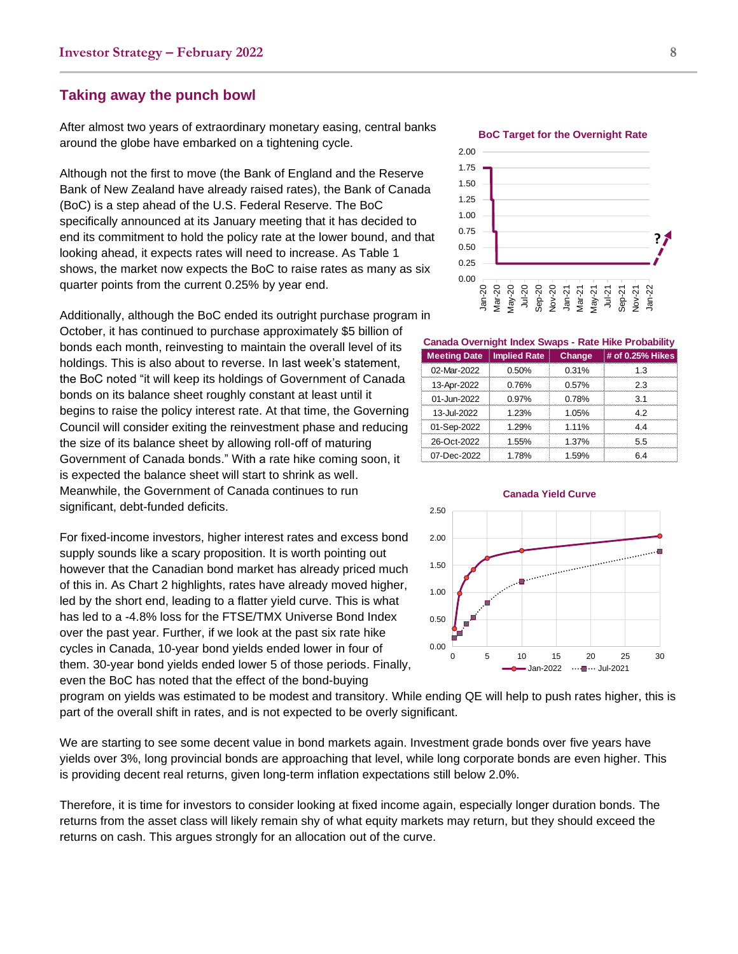#### **Taking away the punch bowl**

After almost two years of extraordinary monetary easing, central banks around the globe have embarked on a tightening cycle.

Although not the first to move (the Bank of England and the Reserve Bank of New Zealand have already raised rates), the Bank of Canada (BoC) is a step ahead of the U.S. Federal Reserve. The BoC specifically announced at its January meeting that it has decided to end its commitment to hold the policy rate at the lower bound, and that looking ahead, it expects rates will need to increase. As Table 1 shows, the market now expects the BoC to raise rates as many as six quarter points from the current 0.25% by year end.

Additionally, although the BoC ended its outright purchase program in October, it has continued to purchase approximately \$5 billion of bonds each month, reinvesting to maintain the overall level of its holdings. This is also about to reverse. In last week's statement, the BoC noted "it will keep its holdings of Government of Canada bonds on its balance sheet roughly constant at least until it begins to raise the policy interest rate. At that time, the Governing Council will consider exiting the reinvestment phase and reducing the size of its balance sheet by allowing roll-off of maturing Government of Canada bonds." With a rate hike coming soon, it is expected the balance sheet will start to shrink as well. Meanwhile, the Government of Canada continues to run significant, debt-funded deficits.

For fixed-income investors, higher interest rates and excess bond supply sounds like a scary proposition. It is worth pointing out however that the Canadian bond market has already priced much of this in. As Chart 2 highlights, rates have already moved higher, led by the short end, leading to a flatter yield curve. This is what has led to a -4.8% loss for the FTSE/TMX Universe Bond Index over the past year. Further, if we look at the past six rate hike cycles in Canada, 10-year bond yields ended lower in four of them. 30-year bond yields ended lower 5 of those periods. Finally, even the BoC has noted that the effect of the bond-buying

0.00 0.25 0.50 0.75 1.00 1.25 1.50 1.75 2.00 Jan-20 Mar-20 May-20 Jul-20 Sep-20 Nov-20 Jan-21 Mar-21 May-21 Jul-21 Sep-21 Nov-21 Jan-22 **?**

**BoC Target for the Overnight Rate**

**Canada Overnight Index Swaps - Rate Hike Probability**

| <b>Meeting Date</b>   Implied Rate |          | <b>Change</b> | $\#$ of 0.25% Hikes |
|------------------------------------|----------|---------------|---------------------|
| 02-Mar-2022                        | 0.50%    | 0.31%         | 1.3                 |
| 13-Apr-2022                        | 0.76%    | 0.57%         | 23                  |
| 01-Jun-2022                        | $0.97\%$ | 0.78%         | ৭ 1                 |
| 13-Jul-2022                        | 1.23%    | 1.05%         | 42                  |
| 01-Sep-2022                        | 1.29%    | 1.11%         | 1 A                 |
| 26-Oct-2022                        | 1.55%    | 1.37%         | 55                  |
| 07-Dec-2022                        | 1.78%    | 1.59%         |                     |



program on yields was estimated to be modest and transitory. While ending QE will help to push rates higher, this is part of the overall shift in rates, and is not expected to be overly significant.

We are starting to see some decent value in bond markets again. Investment grade bonds over five years have yields over 3%, long provincial bonds are approaching that level, while long corporate bonds are even higher. This is providing decent real returns, given long-term inflation expectations still below 2.0%.

Therefore, it is time for investors to consider looking at fixed income again, especially longer duration bonds. The returns from the asset class will likely remain shy of what equity markets may return, but they should exceed the returns on cash. This argues strongly for an allocation out of the curve.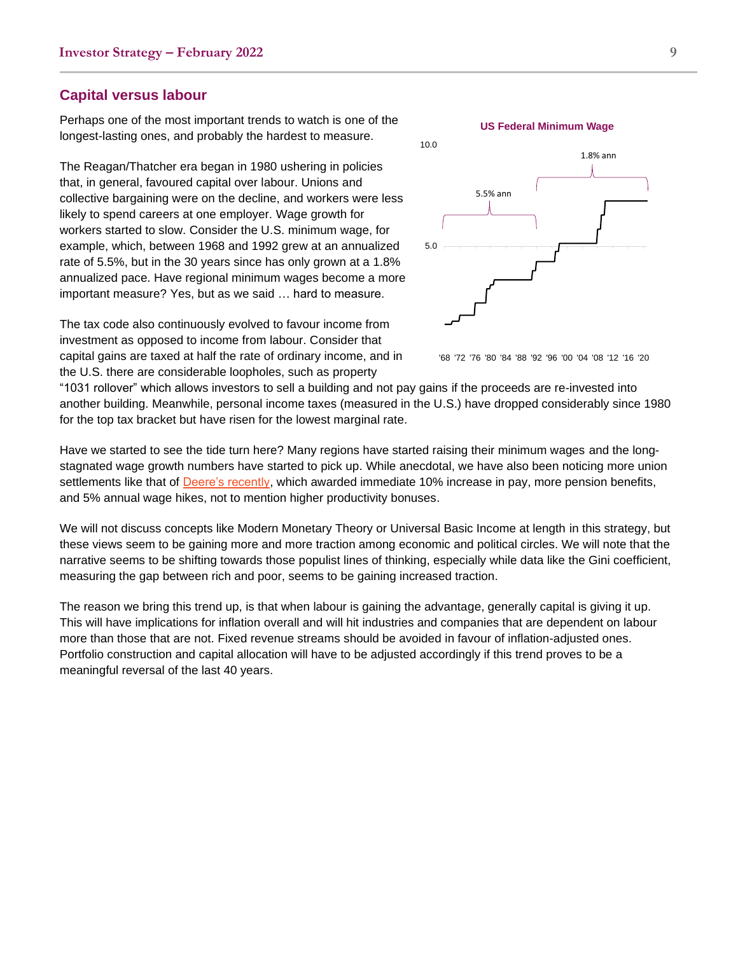### **Capital versus labour**

Perhaps one of the most important trends to watch is one of the longest-lasting ones, and probably the hardest to measure.

The Reagan/Thatcher era began in 1980 ushering in policies that, in general, favoured capital over labour. Unions and collective bargaining were on the decline, and workers were less likely to spend careers at one employer. Wage growth for workers started to slow. Consider the U.S. minimum wage, for example, which, between 1968 and 1992 grew at an annualized rate of 5.5%, but in the 30 years since has only grown at a 1.8% annualized pace. Have regional minimum wages become a more important measure? Yes, but as we said … hard to measure.

The tax code also continuously evolved to favour income from investment as opposed to income from labour. Consider that capital gains are taxed at half the rate of ordinary income, and in the U.S. there are considerable loopholes, such as property



#### '68 '72 '76 '80 '84 '88 '92 '96 '00 '04 '08 '12 '16 '20

"1031 rollover" which allows investors to sell a building and not pay gains if the proceeds are re-invested into another building. Meanwhile, personal income taxes (measured in the U.S.) have dropped considerably since 1980 for the top tax bracket but have risen for the lowest marginal rate.

Have we started to see the tide turn here? Many regions have started raising their minimum wages and the longstagnated wage growth numbers have started to pick up. While anecdotal, we have also been noticing more union settlements like that of **Deere's recently**, which awarded immediate 10% increase in pay, more pension benefits, and 5% annual wage hikes, not to mention higher productivity bonuses.

We will not discuss concepts like Modern Monetary Theory or Universal Basic Income at length in this strategy, but these views seem to be gaining more and more traction among economic and political circles. We will note that the narrative seems to be shifting towards those populist lines of thinking, especially while data like the Gini coefficient, measuring the gap between rich and poor, seems to be gaining increased traction.

The reason we bring this trend up, is that when labour is gaining the advantage, generally capital is giving it up. This will have implications for inflation overall and will hit industries and companies that are dependent on labour more than those that are not. Fixed revenue streams should be avoided in favour of inflation-adjusted ones. Portfolio construction and capital allocation will have to be adjusted accordingly if this trend proves to be a meaningful reversal of the last 40 years.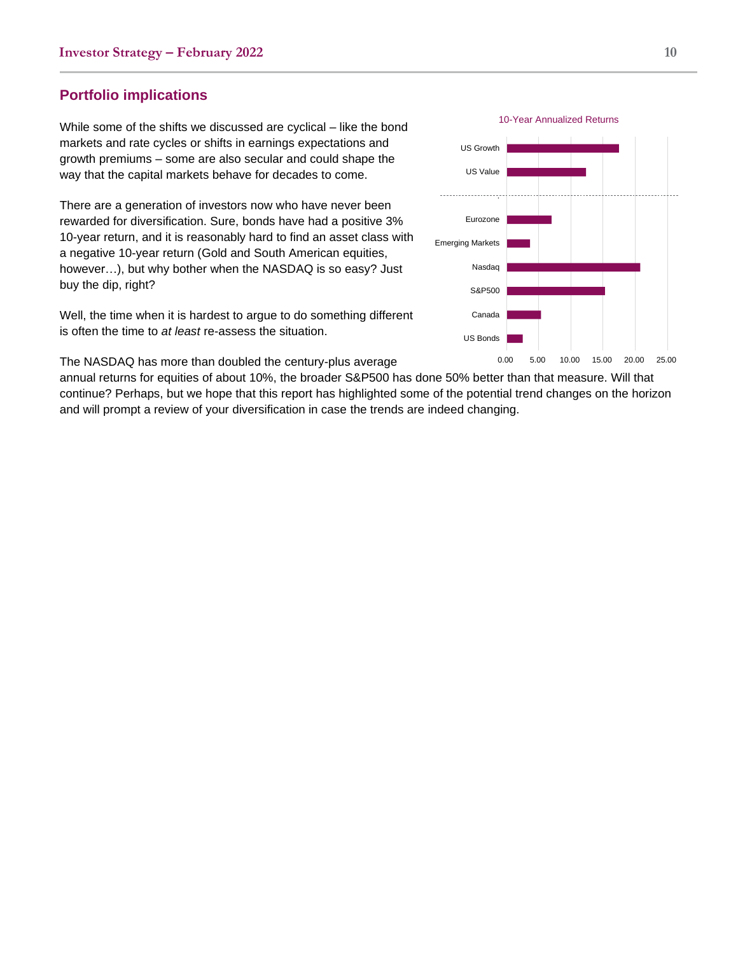# **Portfolio implications**

While some of the shifts we discussed are cyclical – like the bond markets and rate cycles or shifts in earnings expectations and growth premiums – some are also secular and could shape the way that the capital markets behave for decades to come.

There are a generation of investors now who have never been rewarded for diversification. Sure, bonds have had a positive 3% 10-year return, and it is reasonably hard to find an asset class with a negative 10-year return (Gold and South American equities, however…), but why bother when the NASDAQ is so easy? Just buy the dip, right?

Well, the time when it is hardest to argue to do something different is often the time to *at least* re-assess the situation.

The NASDAQ has more than doubled the century-plus average

annual returns for equities of about 10%, the broader S&P500 has done 50% better than that measure. Will that continue? Perhaps, but we hope that this report has highlighted some of the potential trend changes on the horizon and will prompt a review of your diversification in case the trends are indeed changing.